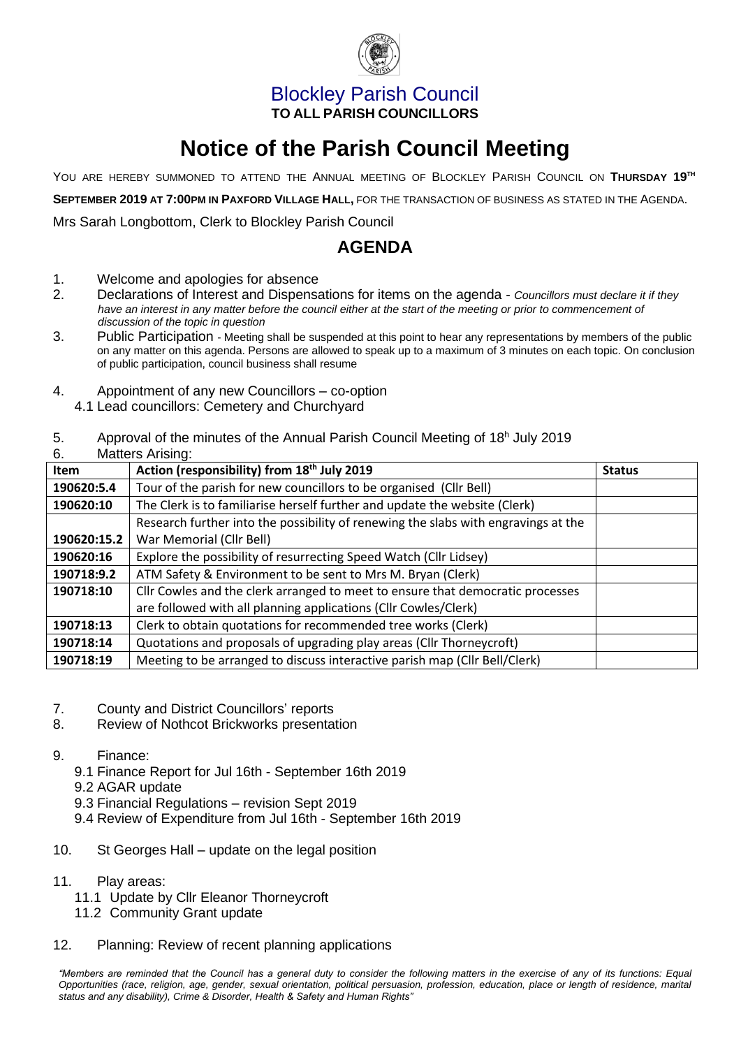

## Blockley Parish Council **TO ALL PARISH COUNCILLORS**

# **Notice of the Parish Council Meeting**

YOU ARE HEREBY SUMMONED TO ATTEND THE ANNUAL MEETING OF BLOCKLEY PARISH COUNCIL ON **THURSDAY 19 TH**

**SEPTEMBER 2019 AT 7:00PM IN PAXFORD VILLAGE HALL,** FOR THE TRANSACTION OF BUSINESS AS STATED IN THE AGENDA.

Mrs Sarah Longbottom, Clerk to Blockley Parish Council

## **AGENDA**

- 1. Welcome and apologies for absence
- 2. Declarations of Interest and Dispensations for items on the agenda *Councillors must declare it if they*  have an interest in any matter before the council either at the start of the meeting or prior to commencement of *discussion of the topic in question*
- 3. Public Participation Meeting shall be suspended at this point to hear any representations by members of the public on any matter on this agenda. Persons are allowed to speak up to a maximum of 3 minutes on each topic. On conclusion of public participation, council business shall resume
- 4. Appointment of any new Councillors co-option
	- 4.1 Lead councillors: Cemetery and Churchyard

#### 5. Approval of the minutes of the Annual Parish Council Meeting of 18<sup>h</sup> July 2019

6. Matters Arising:

| v.<br><b>Item</b> | 1<br>Action (responsibility) from 18 <sup>th</sup> July 2019                       | <b>Status</b> |
|-------------------|------------------------------------------------------------------------------------|---------------|
| 190620:5.4        | Tour of the parish for new councillors to be organised (Cllr Bell)                 |               |
| 190620:10         | The Clerk is to familiarise herself further and update the website (Clerk)         |               |
|                   | Research further into the possibility of renewing the slabs with engravings at the |               |
| 190620:15.2       | War Memorial (Cllr Bell)                                                           |               |
| 190620:16         | Explore the possibility of resurrecting Speed Watch (Cllr Lidsey)                  |               |
| 190718:9.2        | ATM Safety & Environment to be sent to Mrs M. Bryan (Clerk)                        |               |
| 190718:10         | Cllr Cowles and the clerk arranged to meet to ensure that democratic processes     |               |
|                   | are followed with all planning applications (Cllr Cowles/Clerk)                    |               |
| 190718:13         | Clerk to obtain quotations for recommended tree works (Clerk)                      |               |
| 190718:14         | Quotations and proposals of upgrading play areas (Cllr Thorneycroft)               |               |
| 190718:19         | Meeting to be arranged to discuss interactive parish map (Cllr Bell/Clerk)         |               |

- 7. County and District Councillors' reports
- 8. Review of Nothcot Brickworks presentation
- 9. Finance:
	- 9.1 Finance Report for Jul 16th September 16th 2019
	- 9.2 AGAR update
	- 9.3 Financial Regulations revision Sept 2019
	- 9.4 Review of Expenditure from Jul 16th September 16th 2019
- 10. St Georges Hall update on the legal position
- 11. Play areas:
	- 11.1 Update by Cllr Eleanor Thorneycroft
	- 11.2 Community Grant update
- 12. Planning: Review of recent planning applications

*"Members are reminded that the Council has a general duty to consider the following matters in the exercise of any of its functions: Equal Opportunities (race, religion, age, gender, sexual orientation, political persuasion, profession, education, place or length of residence, marital status and any disability), Crime & Disorder, Health & Safety and Human Rights"*